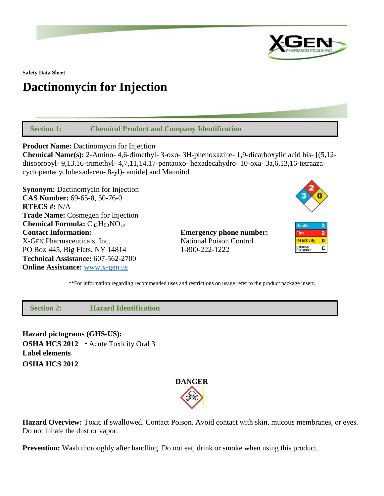

**Safety Data Sheet**

# **Dactinomycin for Injection**

 **Section 1: Chemical Product and Company Identification**

**Product Name:** Dactinomycin for Injection

**Chemical Name(s):** 2-Amino- 4,6-dimethyl- 3-oxo- 3H-phenoxazine- 1,9-dicarboxylic acid bis- [(5,12 diisopropyl- 9,13,16-trimethyl- 4,7,11,14,17-pentaoxo- hexadecahydro- 10-oxa- 3a,6,13,16-tetraazacyclopentacyclohexadecen- 8-yl)- amide] and Mannitol

**Synonym:** Dactinomycin for Injection **CAS Number:** 69-65-8, 50-76-0 **RTECS #:** N/A **Trade Name:** Cosmegen for Injection **Chemical Formula:** C43H53NO14 **Contact Information: Emergency phone number:** X-GEN Pharmaceuticals, Inc. National Poison Control PO Box 445, Big Flats, NY 14814 1-800-222-1222 **Technical Assistance:** 607-562-2700 **Online Assistance:** [www.x-gen.us](http://www.x-gen.us/)



\*\*For information regarding recommended uses and restrictions on usage refer to the product package insert.

 **Section 2: Hazard Identification**

**Hazard pictograms (GHS-US): OSHA HCS 2012** • Acute Toxicity Oral 3 **Label elements OSHA HCS 2012**



**Hazard Overview:** Toxic if swallowed. Contact Poison. Avoid contact with skin, mucous membranes, or eyes. Do not inhale the dust or vapor.

**Prevention:** Wash thoroughly after handling. Do not eat, drink or smoke when using this product.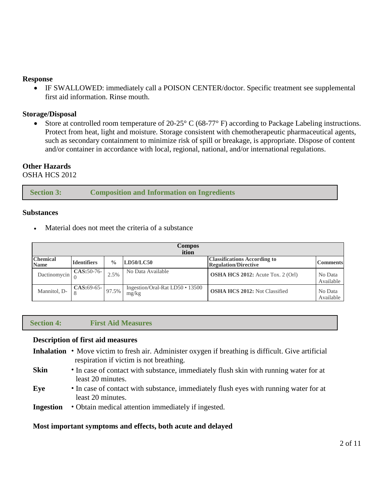#### **Response**

• IF SWALLOWED: immediately call a POISON CENTER/doctor. Specific treatment see supplemental first aid information. Rinse mouth.

#### **Storage/Disposal**

• Store at controlled room temperature of 20-25° C (68-77° F) according to Package Labeling instructions. Protect from heat, light and moisture. Storage consistent with chemotherapeutic pharmaceutical agents, such as secondary containment to minimize risk of spill or breakage, is appropriate. Dispose of content and/or container in accordance with local, regional, national, and/or international regulations.

### **Other Hazards**

OSHA HCS 2012

| <b>Section 3:</b> | <b>Composition and Information on Ingredients</b> |  |
|-------------------|---------------------------------------------------|--|
|-------------------|---------------------------------------------------|--|

#### **Substances**

Material does not meet the criteria of a substance

| <b>Compos</b><br>ition         |                    |             |                                          |                                                                    |                      |
|--------------------------------|--------------------|-------------|------------------------------------------|--------------------------------------------------------------------|----------------------|
| <b>Chemical</b><br><b>Name</b> | <b>Identifiers</b> | $^{0}/_{0}$ | LD50/LC50                                | <b>Classifications According to</b><br><b>Regulation/Directive</b> | <b>Comments</b>      |
| Dactinomycin                   | CAS:50-76-         | 2.5%        | No Data Available                        | <b>OSHA HCS 2012:</b> Acute Tox. 2 (Orl)                           | No Data<br>Available |
| Mannitol, D-                   | $CAS:69-65-$       | 97.5%       | Ingestion/Oral-Rat LD50 • 13500<br>mg/kg | <b>OSHA HCS 2012: Not Classified</b>                               | No Data<br>Available |

#### **Section 4: First Aid Measures**

#### **Description of first aid measures**

- **Inhalation** Move victim to fresh air. Administer oxygen if breathing is difficult. Give artificial respiration if victim is not breathing.
- **Skin** In case of contact with substance, immediately flush skin with running water for at least 20 minutes.
- **Eye** In case of contact with substance, immediately flush eyes with running water for at least 20 minutes.
- **Ingestion** Obtain medical attention immediately if ingested.

#### **Most important symptoms and effects, both acute and delayed**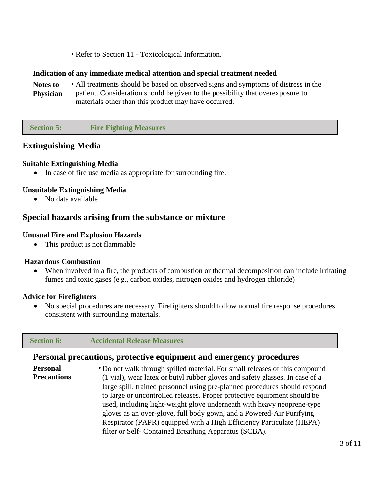• Refer to Section 11 - Toxicological Information.

#### **Indication of any immediate medical attention and special treatment needed**

**Notes to Physician** • All treatments should be based on observed signs and symptoms of distress in the patient. Consideration should be given to the possibility that overexposure to materials other than this product may have occurred.

 **Section 5: Fire Fighting Measures**

# **Extinguishing Media**

#### **Suitable Extinguishing Media**

• In case of fire use media as appropriate for surrounding fire.

#### **Unsuitable Extinguishing Media**

• No data available

# **Special hazards arising from the substance or mixture**

#### **Unusual Fire and Explosion Hazards**

• This product is not flammable

#### **Hazardous Combustion**

When involved in a fire, the products of combustion or thermal decomposition can include irritating fumes and toxic gases (e.g., carbon oxides, nitrogen oxides and hydrogen chloride)

#### **Advice for Firefighters**

• No special procedures are necessary. Firefighters should follow normal fire response procedures consistent with surrounding materials.

#### **Section 6: Accidental Release Measures**

#### **Personal precautions, protective equipment and emergency procedures**

**Personal Precautions** • Do not walk through spilled material. For small releases of this compound (1 vial), wear latex or butyl rubber gloves and safety glasses. In case of a large spill, trained personnel using pre-planned procedures should respond to large or uncontrolled releases. Proper protective equipment should be used, including light-weight glove underneath with heavy neoprene-type gloves as an over-glove, full body gown, and a Powered-Air Purifying Respirator (PAPR) equipped with a High Efficiency Particulate (HEPA) filter or Self- Contained Breathing Apparatus (SCBA).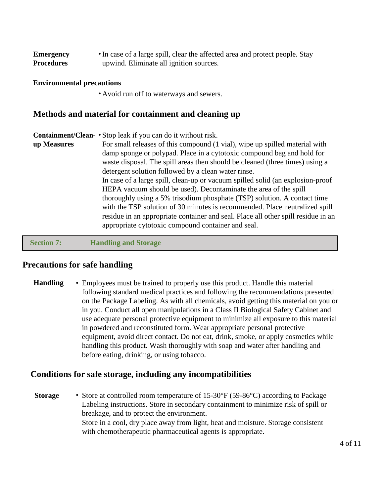| <b>Emergency</b>  | • In case of a large spill, clear the affected area and protect people. Stay |
|-------------------|------------------------------------------------------------------------------|
| <b>Procedures</b> | upwind. Eliminate all ignition sources.                                      |

#### **Environmental precautions**

• Avoid run off to waterways and sewers.

# **Methods and material for containment and cleaning up**

| For small releases of this compound (1 vial), wipe up spilled material with       |
|-----------------------------------------------------------------------------------|
|                                                                                   |
| waste disposal. The spill areas then should be cleaned (three times) using a      |
|                                                                                   |
| In case of a large spill, clean-up or vacuum spilled solid (an explosion-proof    |
|                                                                                   |
| thoroughly using a 5% trisodium phosphate (TSP) solution. A contact time          |
| with the TSP solution of 30 minutes is recommended. Place neutralized spill       |
| residue in an appropriate container and seal. Place all other spill residue in an |
|                                                                                   |
| damp sponge or polypad. Place in a cytotoxic compound bag and hold for            |

 **Section 7: Handling and Storage**

### **Precautions for safe handling**

**Handling** • Employees must be trained to properly use this product. Handle this material following standard medical practices and following the recommendations presented on the Package Labeling. As with all chemicals, avoid getting this material on you or in you. Conduct all open manipulations in a Class II Biological Safety Cabinet and use adequate personal protective equipment to minimize all exposure to this material in powdered and reconstituted form. Wear appropriate personal protective equipment, avoid direct contact. Do not eat, drink, smoke, or apply cosmetics while handling this product. Wash thoroughly with soap and water after handling and before eating, drinking, or using tobacco.

#### **Conditions for safe storage, including any incompatibilities**

**Storage** • Store at controlled room temperature of 15-30°F (59-86°C) according to Package Labeling instructions. Store in secondary containment to minimize risk of spill or breakage, and to protect the environment. Store in a cool, dry place away from light, heat and moisture. Storage consistent with chemotherapeutic pharmaceutical agents is appropriate.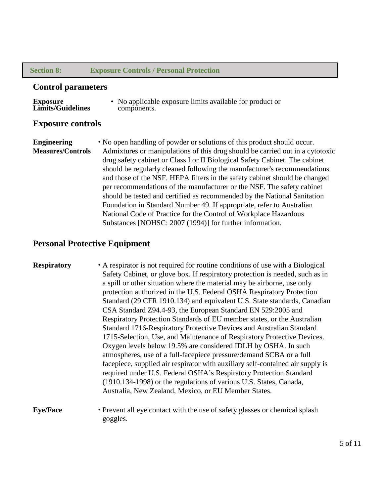#### **Section 8: Exposure Controls / Personal Protection**

#### **Control parameters**

**Exposure** 

• No applicable exposure limits available for product or components.

#### **Exposure controls**

**Engineering Measures/Controls** • No open handling of powder or solutions of this product should occur. Admixtures or manipulations of this drug should be carried out in a cytotoxic drug safety cabinet or Class I or II Biological Safety Cabinet. The cabinet should be regularly cleaned following the manufacturer's recommendations and those of the NSF. HEPA filters in the safety cabinet should be changed per recommendations of the manufacturer or the NSF. The safety cabinet should be tested and certified as recommended by the National Sanitation Foundation in Standard Number 49. If appropriate, refer to Australian National Code of Practice for the Control of Workplace Hazardous Substances [NOHSC: 2007 (1994)] for further information.

### **Personal Protective Equipment**

goggles.

| <b>Respiratory</b> | • A respirator is not required for routine conditions of use with a Biological |
|--------------------|--------------------------------------------------------------------------------|
|                    | Safety Cabinet, or glove box. If respiratory protection is needed, such as in  |
|                    | a spill or other situation where the material may be airborne, use only        |
|                    | protection authorized in the U.S. Federal OSHA Respiratory Protection          |
|                    | Standard (29 CFR 1910.134) and equivalent U.S. State standards, Canadian       |
|                    | CSA Standard Z94.4-93, the European Standard EN 529:2005 and                   |
|                    | Respiratory Protection Standards of EU member states, or the Australian        |
|                    | Standard 1716-Respiratory Protective Devices and Australian Standard           |
|                    | 1715-Selection, Use, and Maintenance of Respiratory Protective Devices.        |
|                    | Oxygen levels below 19.5% are considered IDLH by OSHA. In such                 |
|                    | atmospheres, use of a full-facepiece pressure/demand SCBA or a full            |
|                    | facepiece, supplied air respirator with auxiliary self-contained air supply is |
|                    | required under U.S. Federal OSHA's Respiratory Protection Standard             |
|                    | (1910.134-1998) or the regulations of various U.S. States, Canada,             |
|                    | Australia, New Zealand, Mexico, or EU Member States.                           |
| <b>Eye/Face</b>    | • Prevent all eye contact with the use of safety glasses or chemical splash    |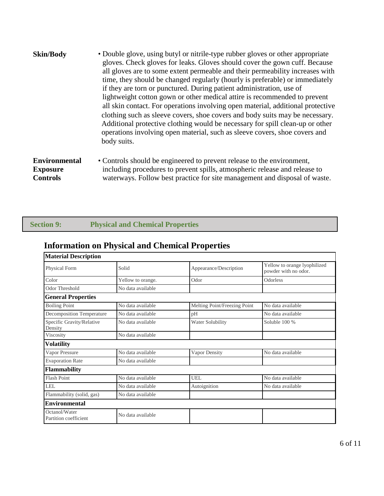| <b>Skin/Body</b> | • Double glove, using butyl or nitrile-type rubber gloves or other appropriate<br>gloves. Check gloves for leaks. Gloves should cover the gown cuff. Because<br>all gloves are to some extent permeable and their permeability increases with<br>time, they should be changed regularly (hourly is preferable) or immediately<br>if they are torn or punctured. During patient administration, use of<br>lightweight cotton gown or other medical attire is recommended to prevent<br>all skin contact. For operations involving open material, additional protective<br>clothing such as sleeve covers, shoe covers and body suits may be necessary.<br>Additional protective clothing would be necessary for spill clean-up or other<br>operations involving open material, such as sleeve covers, shoe covers and<br>body suits. |
|------------------|-------------------------------------------------------------------------------------------------------------------------------------------------------------------------------------------------------------------------------------------------------------------------------------------------------------------------------------------------------------------------------------------------------------------------------------------------------------------------------------------------------------------------------------------------------------------------------------------------------------------------------------------------------------------------------------------------------------------------------------------------------------------------------------------------------------------------------------|
|                  |                                                                                                                                                                                                                                                                                                                                                                                                                                                                                                                                                                                                                                                                                                                                                                                                                                     |

#### **Environmental Exposure Controls** • Controls should be engineered to prevent release to the environment, including procedures to prevent spills, atmospheric release and release to waterways. Follow best practice for site management and disposal of waste.

| <b>Section 9:</b> |  |  |  |  |  |
|-------------------|--|--|--|--|--|
|                   |  |  |  |  |  |
|                   |  |  |  |  |  |

#### **Physical and Chemical Properties**

# **Information on Physical and Chemical Properties**

| <b>Material Description</b>            |                   |                              |                                                      |  |
|----------------------------------------|-------------------|------------------------------|------------------------------------------------------|--|
| Physical Form                          | Solid             | Appearance/Description       | Yellow to orange lyophilized<br>powder with no odor. |  |
| Color                                  | Yellow to orange. | Odor                         | Odorless                                             |  |
| Odor Threshold                         | No data available |                              |                                                      |  |
| <b>General Properties</b>              |                   |                              |                                                      |  |
| <b>Boiling Point</b>                   | No data available | Melting Point/Freezing Point | No data available                                    |  |
| <b>Decomposition Temperature</b>       | No data available | pH                           | No data available                                    |  |
| Specific Gravity/Relative<br>Density   | No data available | Water Solubility             | Soluble 100 %                                        |  |
| Viscosity                              | No data available |                              |                                                      |  |
| Volatility                             |                   |                              |                                                      |  |
| Vapor Pressure                         | No data available | Vapor Density                | No data available                                    |  |
| <b>Evaporation Rate</b>                | No data available |                              |                                                      |  |
| <b>Flammability</b>                    |                   |                              |                                                      |  |
| <b>Flash Point</b>                     | No data available | <b>UEL</b>                   | No data available                                    |  |
| LEL                                    | No data available | Autoignition                 | No data available                                    |  |
| Flammability (solid, gas)              | No data available |                              |                                                      |  |
| <b>Environmental</b>                   |                   |                              |                                                      |  |
| Octanol/Water<br>Partition coefficient | No data available |                              |                                                      |  |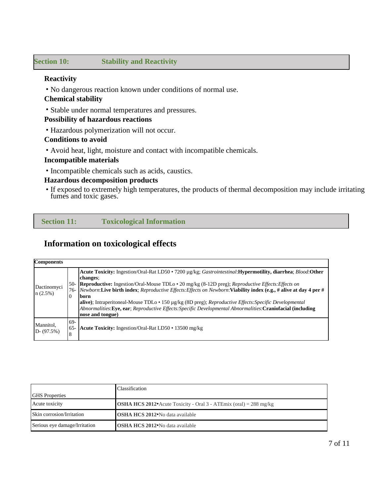#### **Section 10: Stability and Reactivity**

# **Reactivity**

• No dangerous reaction known under conditions of normal use.

#### **Chemical stability**

• Stable under normal temperatures and pressures.

#### **Possibility of hazardous reactions**

• Hazardous polymerization will not occur.

#### **Conditions to avoid**

• Avoid heat, light, moisture and contact with incompatible chemicals.

#### **Incompatible materials**

• Incompatible chemicals such as acids, caustics.

#### **Hazardous decomposition products**

• If exposed to extremely high temperatures, the products of thermal decomposition may include irritating fumes and toxic gases.

 **Section 11: Toxicological Information**

# **Information on toxicological effects**

| <b>Components</b>          |                    |                                                                                                                                                                                                                                                                                                                                                                                                                                                                                                                                                                                                                    |
|----------------------------|--------------------|--------------------------------------------------------------------------------------------------------------------------------------------------------------------------------------------------------------------------------------------------------------------------------------------------------------------------------------------------------------------------------------------------------------------------------------------------------------------------------------------------------------------------------------------------------------------------------------------------------------------|
| Dactinomyci<br>n(2.5%)     | $\overline{0}$     | Acute Toxicity: Ingestion/Oral-Rat LD50 • 7200 µg/kg; Gastrointestinal: Hypermotility, diarrhea; Blood: Other<br>changes:<br>50- Reproductive: Ingestion/Oral-Mouse TDLo • 20 mg/kg (8-12D preg); Reproductive Effects: Effects on<br>76- Newborn: Live birth index; Reproductive Effects: Effects on Newborn: Viability index (e.g., # alive at day 4 per #<br>born<br>alive); Intraperitoneal-Mouse TDLo · 150 µg/kg (8D preg); Reproductive Effects: Specific Developmental<br>Abnormalities: Eye, ear; Reproductive Effects: Specific Developmental Abnormalities: Craniofacial (including<br>nose and tongue) |
| Mannitol,<br>$D - (97.5%)$ | 69-<br>$65 -$<br>8 | Acute Toxicity: Ingestion/Oral-Rat LD50 • 13500 mg/kg                                                                                                                                                                                                                                                                                                                                                                                                                                                                                                                                                              |

|                               | Classification                                                           |
|-------------------------------|--------------------------------------------------------------------------|
| <b>IGHS</b> Properties        |                                                                          |
| Acute toxicity                | <b>OSHA HCS 2012</b> Acute Toxicity - Oral 3 - ATEmix (oral) = 288 mg/kg |
| Skin corrosion/Irritation     | <b>OSHA HCS 2012</b> No data available                                   |
| Serious eye damage/Irritation | <b>OSHA HCS 2012</b> No data available                                   |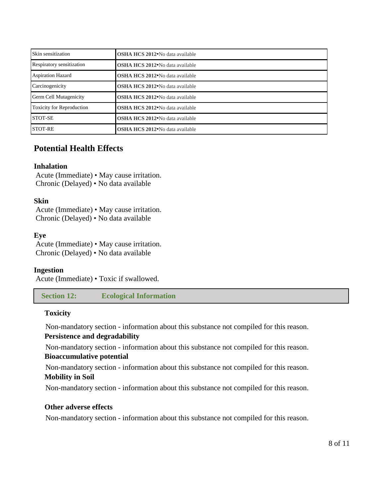| Skin sensitization               | <b>OSHA HCS 2012</b> No data available       |  |  |  |
|----------------------------------|----------------------------------------------|--|--|--|
| Respiratory sensitization        | <b>OSHA HCS 2012</b> No data available       |  |  |  |
| <b>Aspiration Hazard</b>         | <b>OSHA HCS 2012</b> No data available       |  |  |  |
| Carcinogenicity                  | <b>OSHA HCS 2012</b> No data available       |  |  |  |
| <b>Germ Cell Mutagenicity</b>    | <b>OSHA HCS 2012</b> No data available       |  |  |  |
| <b>Toxicity for Reproduction</b> | OSHA HCS 2012 <sup>·</sup> No data available |  |  |  |
| <b>STOT-SE</b>                   | OSHA HCS 2012 <sup>•</sup> No data available |  |  |  |
| <b>STOT-RE</b>                   | <b>OSHA HCS 2012</b> No data available       |  |  |  |

# **Potential Health Effects**

#### **Inhalation**

Acute (Immediate) • May cause irritation. Chronic (Delayed) • No data available

#### **Skin**

Acute (Immediate) • May cause irritation. Chronic (Delayed) • No data available

#### **Eye**

Acute (Immediate) • May cause irritation. Chronic (Delayed) • No data available

#### **Ingestion**

Acute (Immediate) • Toxic if swallowed.

 **Section 12: Ecological Information**

#### **Toxicity**

Non-mandatory section - information about this substance not compiled for this reason. **Persistence and degradability**

Non-mandatory section - information about this substance not compiled for this reason. **Bioaccumulative potential**

Non-mandatory section - information about this substance not compiled for this reason. **Mobility in Soil**

Non-mandatory section - information about this substance not compiled for this reason.

#### **Other adverse effects**

Non-mandatory section - information about this substance not compiled for this reason.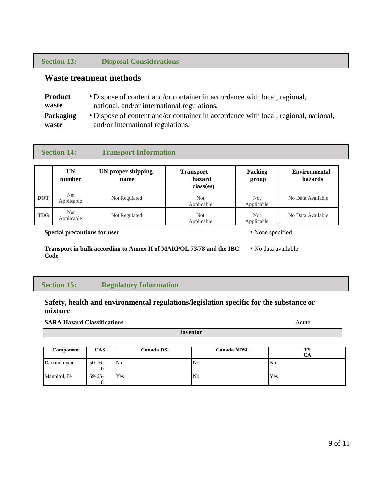#### **Section 13: Disposal Considerations**

# **Waste treatment methods**

| <b>Product</b>   | • Dispose of content and/or container in accordance with local, regional,           |
|------------------|-------------------------------------------------------------------------------------|
| waste            | national, and/or international regulations.                                         |
| <b>Packaging</b> | • Dispose of content and/or container in accordance with local, regional, national, |
| waste            | and/or international regulations.                                                   |

| <b>Section 14:</b> |                          | <b>Transport Information</b> |                                         |                         |                                 |  |
|--------------------|--------------------------|------------------------------|-----------------------------------------|-------------------------|---------------------------------|--|
|                    | UN<br>number             | UN proper shipping<br>name   | <b>Transport</b><br>hazard<br>class(es) | <b>Packing</b><br>group | <b>Environmental</b><br>hazards |  |
| <b>DOT</b>         | Not.<br>Applicable       | Not Regulated                | Not.<br>Applicable                      | Not<br>Applicable       | No Data Available               |  |
| <b>TDG</b>         | <b>Not</b><br>Applicable | Not Regulated                | Not.<br>Applicable                      | Not.<br>Applicable      | No Data Available               |  |

**Special precautions for user** • None specified.

**Transport in bulk according to Annex II of MARPOL 73/78 and the IBC Code** • No data available

#### **Section 15: Regulatory Information**

#### **Safety, health and environmental regulations/legislation specific for the substance or mixture**

#### **SARA Hazard Classifications** Acute

| Component    | <b>CAS</b> | Canada DSL     | <b>Canada NDSL</b> | TS<br>CА       |
|--------------|------------|----------------|--------------------|----------------|
| Dactinomycin | $50-76-$   | N <sub>o</sub> | No                 | N <sub>o</sub> |
| Mannitol, D- | 69-65-     | Yes            | N <sub>0</sub>     | Yes            |

**Inventor**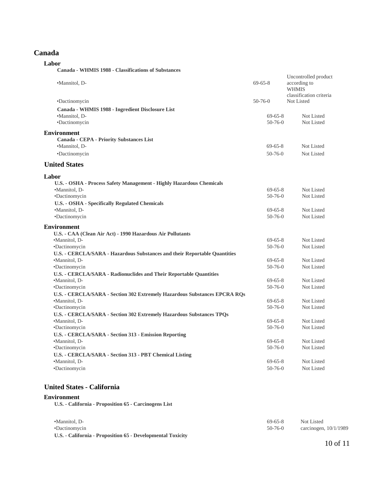#### **Canada**

| Labor                                                                                      |                                |                                                      |  |
|--------------------------------------------------------------------------------------------|--------------------------------|------------------------------------------------------|--|
| Canada - WHMIS 1988 - Classifications of Substances                                        |                                |                                                      |  |
| •Mannitol, D-                                                                              | $69 - 65 - 8$                  | Uncontrolled product<br>according to<br><b>WHMIS</b> |  |
| •Dactinomycin                                                                              | $50 - 76 - 0$                  | classification criteria<br>Not Listed                |  |
| Canada - WHMIS 1988 - Ingredient Disclosure List                                           |                                |                                                      |  |
| •Mannitol, D-                                                                              | $69 - 65 - 8$                  | Not Listed                                           |  |
| •Dactinomycin                                                                              | $50-76-0$                      | Not Listed                                           |  |
| <b>Environment</b>                                                                         |                                |                                                      |  |
| <b>Canada - CEPA - Priority Substances List</b>                                            |                                |                                                      |  |
| •Mannitol, D-                                                                              | $69 - 65 - 8$                  | Not Listed                                           |  |
| •Dactinomycin                                                                              | $50-76-0$                      | Not Listed                                           |  |
| <b>United States</b>                                                                       |                                |                                                      |  |
| Labor                                                                                      |                                |                                                      |  |
| U.S. - OSHA - Process Safety Management - Highly Hazardous Chemicals                       |                                |                                                      |  |
| •Mannitol, D-                                                                              | $69 - 65 - 8$                  | Not Listed                                           |  |
| •Dactinomycin                                                                              | $50 - 76 - 0$                  | Not Listed                                           |  |
| U.S. - OSHA - Specifically Regulated Chemicals                                             |                                |                                                      |  |
| ·Mannitol, D-                                                                              | $69 - 65 - 8$                  | Not Listed                                           |  |
| ·Dactinomycin                                                                              | $50 - 76 - 0$                  | Not Listed                                           |  |
| <b>Environment</b>                                                                         |                                |                                                      |  |
| U.S. - CAA (Clean Air Act) - 1990 Hazardous Air Pollutants                                 |                                |                                                      |  |
| •Mannitol, D-                                                                              | $69 - 65 - 8$                  | Not Listed                                           |  |
| •Dactinomycin                                                                              | $50 - 76 - 0$                  | Not Listed                                           |  |
| <b>U.S. - CERCLA/SARA - Hazardous Substances and their Reportable Quantities</b>           |                                |                                                      |  |
| ·Mannitol, D-                                                                              | $69 - 65 - 8$<br>$50 - 76 - 0$ | Not Listed<br>Not Listed                             |  |
| •Dactinomycin<br><b>U.S. - CERCLA/SARA - Radionuclides and Their Reportable Quantities</b> |                                |                                                      |  |
| ·Mannitol, D-                                                                              | $69 - 65 - 8$                  | Not Listed                                           |  |
| •Dactinomycin                                                                              | $50 - 76 - 0$                  | Not Listed                                           |  |
| U.S. - CERCLA/SARA - Section 302 Extremely Hazardous Substances EPCRA RQs                  |                                |                                                      |  |
| •Mannitol, D-                                                                              | $69 - 65 - 8$                  | Not Listed                                           |  |
| •Dactinomycin                                                                              | $50 - 76 - 0$                  | Not Listed                                           |  |
| U.S. - CERCLA/SARA - Section 302 Extremely Hazardous Substances TPQs                       |                                |                                                      |  |
| ·Mannitol, D-                                                                              | $69 - 65 - 8$                  | Not Listed                                           |  |
| •Dactinomycin                                                                              | $50 - 76 - 0$                  | Not Listed                                           |  |
| U.S. - CERCLA/SARA - Section 313 - Emission Reporting                                      |                                |                                                      |  |
| •Mannitol, D-                                                                              | $69 - 65 - 8$                  | Not Listed                                           |  |
| •Dactinomycin                                                                              | $50 - 76 - 0$                  | Not Listed                                           |  |
| U.S. - CERCLA/SARA - Section 313 - PBT Chemical Listing                                    |                                |                                                      |  |
| •Mannitol, D-                                                                              | $69 - 65 - 8$                  | Not Listed                                           |  |
| •Dactinomycin                                                                              | $50 - 76 - 0$                  | Not Listed                                           |  |

#### **United States - California**

#### **Environment**

**U.S. - California - Proposition 65 - Carcinogens List**

| •Mannitol, D-                                               | $69-65-8$ | Not Listed              |
|-------------------------------------------------------------|-----------|-------------------------|
| •Dactinomycin                                               | $50-76-0$ | carcinogen, $10/1/1989$ |
| U.S. - California - Proposition 65 - Developmental Toxicity |           |                         |